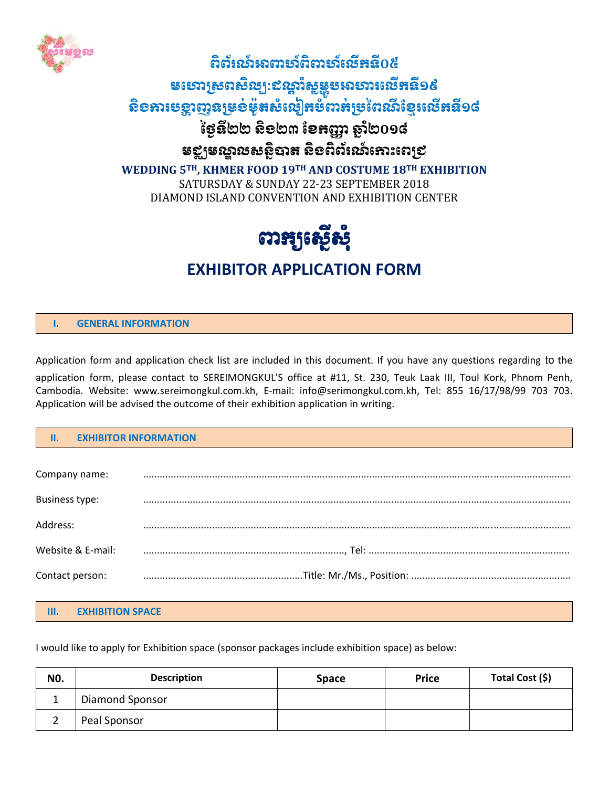

# ពិព័រណ៍អាចបំពុកហេស៍ កម្ពុជា ក **មចោរស្រពសល្យ:**ឧស្តាស្តូឆ្លុបពេលាចេ<del>រ</del>ាន១៩ <u>និខឝារមខ្លាញនម្រទ់ម៉ូតសំលៀ<del>រ</del>ាទំំពា<del>រ</del>់រម្រពៃណីខ្មែរលើអនី១៨</u> ថៃ្ងន្ទនានា យូនទី២០១៥ ចំនួរ មខ្លាមស្នាលសន្ថិបាត និខពិព័រឈ៍គោះពេទ្រ

**WEDDING 5TH, KHMER FOOD 19TH AND COSTUME 18TH EXHIBITION** SATURSDAY & SUNDAY 22-23 SEPTEMBER 2018 DIAMOND ISLAND CONVENTION AND EXHIBITION CENTER



# **EXHIBITOR APPLICATION FORM**

**I. GENERAL INFORMATION** 

Application form and application check list are included in this document. If you have any questions regarding to the application form, please contact to SEREIMONGKUL'S office at #11, St. 230, Teuk Laak III, Toul Kork, Phnom Penh, Cambodia. Website: www.sereimongkul.com.kh, E‐mail: info@serimongkul.com.kh, Tel: 855 16/17/98/99 703 703. Application will be advised the outcome of their exhibition application in writing.

## **II. EXHIBITOR INFORMATION**

| Company name:     |  |
|-------------------|--|
| Business type:    |  |
| Address:          |  |
| Website & E-mail: |  |
| Contact person:   |  |

#### **III. EXHIBITION SPACE**

I would like to apply for Exhibition space (sponsor packages include exhibition space) as below:

| <b>NO.</b> | <b>Description</b> | <b>Space</b> | <b>Price</b> | Total Cost (\$) |
|------------|--------------------|--------------|--------------|-----------------|
|            | Diamond Sponsor    |              |              |                 |
|            | Peal Sponsor       |              |              |                 |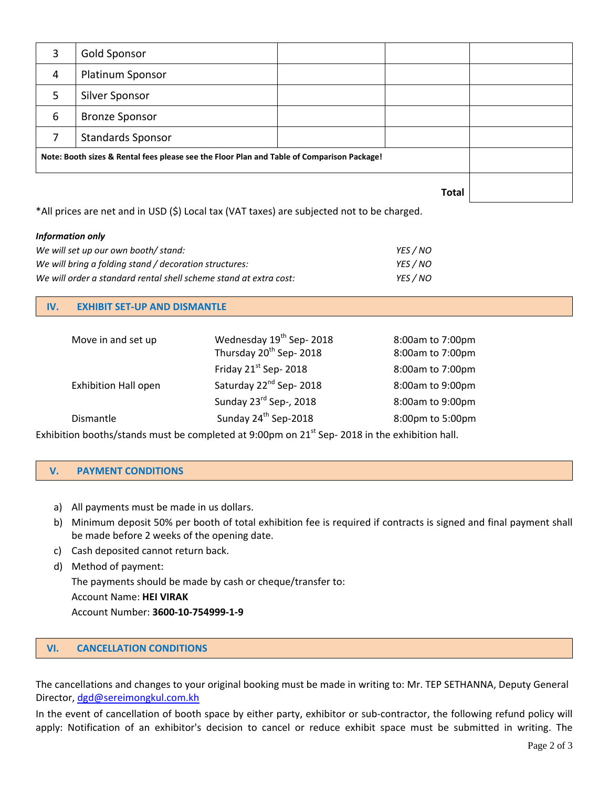| 3  | <b>Gold Sponsor</b>                                                                        |  |              |  |
|----|--------------------------------------------------------------------------------------------|--|--------------|--|
| 4  | Platinum Sponsor                                                                           |  |              |  |
| 5. | Silver Sponsor                                                                             |  |              |  |
| 6  | <b>Bronze Sponsor</b>                                                                      |  |              |  |
|    | <b>Standards Sponsor</b>                                                                   |  |              |  |
|    | Note: Booth sizes & Rental fees please see the Floor Plan and Table of Comparison Package! |  |              |  |
|    |                                                                                            |  |              |  |
|    |                                                                                            |  | <b>Total</b> |  |

\*All prices are net and in USD (\$) Local tax (VAT taxes) are subjected not to be charged.

#### *Information only*

| We will set up our own booth/ stand:                              | YES / NO |
|-------------------------------------------------------------------|----------|
| We will bring a folding stand / decoration structures:            | YES / NO |
| We will order a standard rental shell scheme stand at extra cost: | YES / NO |

### **IV. EXHIBIT SET‐UP AND DISMANTLE**

| Move in and set up          | Wednesday 19 <sup>th</sup> Sep-2018 | 8:00am to 7:00pm |
|-----------------------------|-------------------------------------|------------------|
|                             | Thursday 20 <sup>th</sup> Sep-2018  | 8:00am to 7:00pm |
|                             | Friday 21 <sup>st</sup> Sep-2018    | 8:00am to 7:00pm |
| <b>Exhibition Hall open</b> | Saturday 22 <sup>nd</sup> Sep-2018  | 8:00am to 9:00pm |
|                             | Sunday 23rd Sep-, 2018              | 8:00am to 9:00pm |
| Dismantle                   | Sunday 24 <sup>th</sup> Sep-2018    | 8:00pm to 5:00pm |

Exhibition booths/stands must be completed at 9:00pm on  $21<sup>st</sup>$  Sep- 2018 in the exhibition hall.

#### **V. PAYMENT CONDITIONS**

- a) All payments must be made in us dollars.
- b) Minimum deposit 50% per booth of total exhibition fee is required if contracts is signed and final payment shall be made before 2 weeks of the opening date.
- c) Cash deposited cannot return back.
- d) Method of payment:

The payments should be made by cash or cheque/transfer to:

Account Name: **HEI VIRAK**

Account Number: **3600‐10‐754999‐1‐9**

#### **VI. CANCELLATION CONDITIONS**

The cancellations and changes to your original booking must be made in writing to: Mr. TEP SETHANNA, Deputy General Director, dgd@sereimongkul.com.kh

In the event of cancellation of booth space by either party, exhibitor or sub-contractor, the following refund policy will apply: Notification of an exhibitor's decision to cancel or reduce exhibit space must be submitted in writing. The